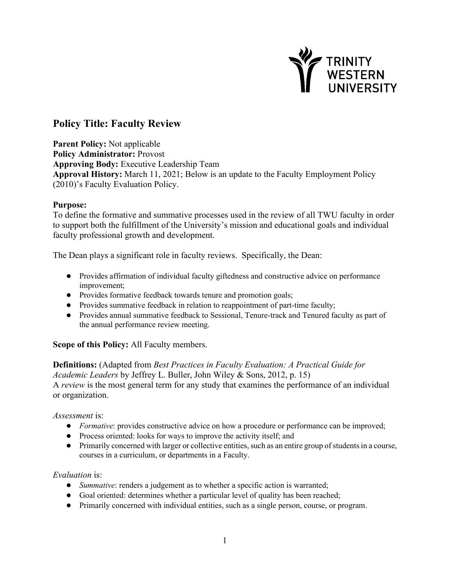

# **Policy Title: Faculty Review**

**Parent Policy:** Not applicable **Policy Administrator:** Provost **Approving Body:** Executive Leadership Team **Approval History:** March 11, 2021; Below is an update to the Faculty Employment Policy (2010)'s Faculty Evaluation Policy.

### **Purpose:**

To define the formative and summative processes used in the review of all TWU faculty in order to support both the fulfillment of the University's mission and educational goals and individual faculty professional growth and development.

The Dean plays a significant role in faculty reviews. Specifically, the Dean:

- Provides affirmation of individual faculty giftedness and constructive advice on performance improvement;
- Provides formative feedback towards tenure and promotion goals;
- Provides summative feedback in relation to reappointment of part-time faculty;
- Provides annual summative feedback to Sessional, Tenure-track and Tenured faculty as part of the annual performance review meeting.

# **Scope of this Policy:** All Faculty members.

# **Definitions:** (Adapted from *Best Practices in Faculty Evaluation: A Practical Guide for*

*Academic Leaders* by Jeffrey L. Buller, John Wiley & Sons, 2012, p. 15) A *review* is the most general term for any study that examines the performance of an individual or organization.

#### *Assessment* is:

- *Formative*: provides constructive advice on how a procedure or performance can be improved;
- Process oriented: looks for ways to improve the activity itself; and
- Primarily concerned with larger or collective entities, such as an entire group of students in a course, courses in a curriculum, or departments in a Faculty.

#### *Evaluation* is:

- *Summative*: renders a judgement as to whether a specific action is warranted;
- Goal oriented: determines whether a particular level of quality has been reached;
- Primarily concerned with individual entities, such as a single person, course, or program.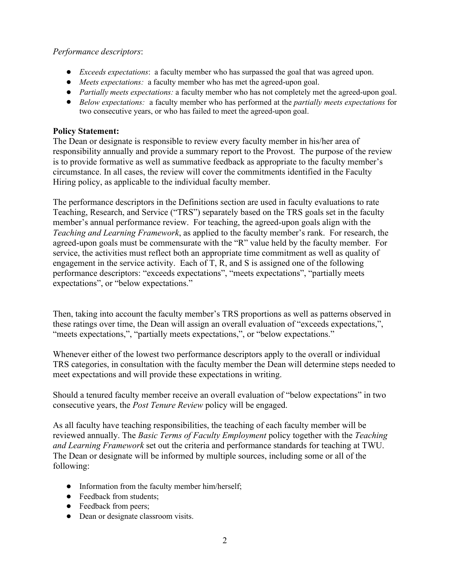### *Performance descriptors*:

- *Exceeds expectations*: a faculty member who has surpassed the goal that was agreed upon.
- *Meets expectations:* a faculty member who has met the agreed-upon goal.
- *Partially meets expectations:* a faculty member who has not completely met the agreed-upon goal.
- *Below expectations:* a faculty member who has performed at the *partially meets expectations* for two consecutive years, or who has failed to meet the agreed-upon goal.

## **Policy Statement:**

The Dean or designate is responsible to review every faculty member in his/her area of responsibility annually and provide a summary report to the Provost. The purpose of the review is to provide formative as well as summative feedback as appropriate to the faculty member's circumstance. In all cases, the review will cover the commitments identified in the Faculty Hiring policy, as applicable to the individual faculty member.

The performance descriptors in the Definitions section are used in faculty evaluations to rate Teaching, Research, and Service ("TRS") separately based on the TRS goals set in the faculty member's annual performance review. For teaching, the agreed-upon goals align with the *Teaching and Learning Framework*, as applied to the faculty member's rank. For research, the agreed-upon goals must be commensurate with the "R" value held by the faculty member. For service, the activities must reflect both an appropriate time commitment as well as quality of engagement in the service activity. Each of T, R, and S is assigned one of the following performance descriptors: "exceeds expectations", "meets expectations", "partially meets expectations", or "below expectations."

Then, taking into account the faculty member's TRS proportions as well as patterns observed in these ratings over time, the Dean will assign an overall evaluation of "exceeds expectations,", "meets expectations,", "partially meets expectations,", or "below expectations."

Whenever either of the lowest two performance descriptors apply to the overall or individual TRS categories, in consultation with the faculty member the Dean will determine steps needed to meet expectations and will provide these expectations in writing.

Should a tenured faculty member receive an overall evaluation of "below expectations" in two consecutive years, the *Post Tenure Review* policy will be engaged.

As all faculty have teaching responsibilities, the teaching of each faculty member will be reviewed annually. The *Basic Terms of Faculty Employment* policy together with the *Teaching and Learning Framework* set out the criteria and performance standards for teaching at TWU. The Dean or designate will be informed by multiple sources, including some or all of the following:

- Information from the faculty member him/herself;
- Feedback from students;
- Feedback from peers;
- Dean or designate classroom visits.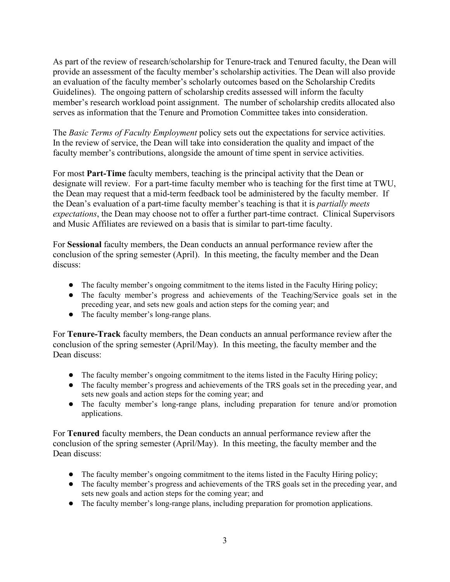As part of the review of research/scholarship for Tenure-track and Tenured faculty, the Dean will provide an assessment of the faculty member's scholarship activities. The Dean will also provide an evaluation of the faculty member's scholarly outcomes based on the Scholarship Credits Guidelines). The ongoing pattern of scholarship credits assessed will inform the faculty member's research workload point assignment. The number of scholarship credits allocated also serves as information that the Tenure and Promotion Committee takes into consideration.

The *Basic Terms of Faculty Employment* policy sets out the expectations for service activities. In the review of service, the Dean will take into consideration the quality and impact of the faculty member's contributions, alongside the amount of time spent in service activities.

For most **Part-Time** faculty members, teaching is the principal activity that the Dean or designate will review. For a part-time faculty member who is teaching for the first time at TWU, the Dean may request that a mid-term feedback tool be administered by the faculty member. If the Dean's evaluation of a part-time faculty member's teaching is that it is *partially meets expectations*, the Dean may choose not to offer a further part-time contract. Clinical Supervisors and Music Affiliates are reviewed on a basis that is similar to part-time faculty.

For **Sessional** faculty members, the Dean conducts an annual performance review after the conclusion of the spring semester (April). In this meeting, the faculty member and the Dean discuss:

- The faculty member's ongoing commitment to the items listed in the Faculty Hiring policy;
- The faculty member's progress and achievements of the Teaching/Service goals set in the preceding year, and sets new goals and action steps for the coming year; and
- The faculty member's long-range plans.

For **Tenure-Track** faculty members, the Dean conducts an annual performance review after the conclusion of the spring semester (April/May). In this meeting, the faculty member and the Dean discuss:

- The faculty member's ongoing commitment to the items listed in the Faculty Hiring policy;
- The faculty member's progress and achievements of the TRS goals set in the preceding year, and sets new goals and action steps for the coming year; and
- The faculty member's long-range plans, including preparation for tenure and/or promotion applications.

For **Tenured** faculty members, the Dean conducts an annual performance review after the conclusion of the spring semester (April/May). In this meeting, the faculty member and the Dean discuss:

- The faculty member's ongoing commitment to the items listed in the Faculty Hiring policy;
- The faculty member's progress and achievements of the TRS goals set in the preceding year, and sets new goals and action steps for the coming year; and
- The faculty member's long-range plans, including preparation for promotion applications.